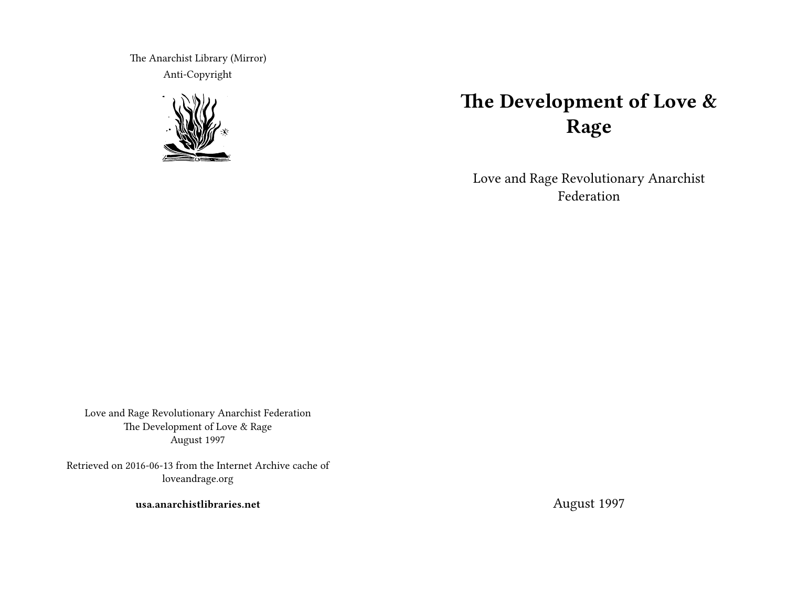The Anarchist Library (Mirror) Anti-Copyright



# **The Development of Love & Rage**

Love and Rage Revolutionary Anarchist Federation

Love and Rage Revolutionary Anarchist Federation The Development of Love & Rage August 1997

Retrieved on 2016-06-13 from the Internet Archive cache of loveandrage.org

**usa.anarchistlibraries.net**

August 1997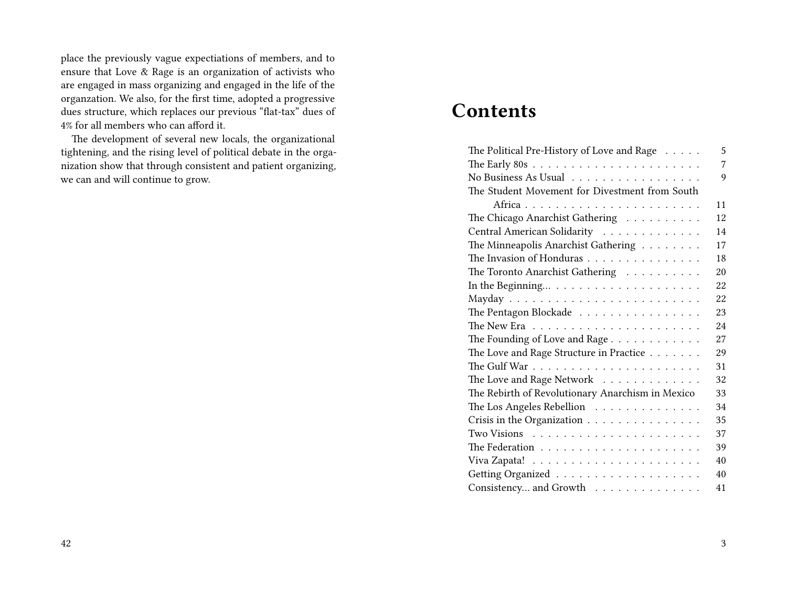place the previously vague expectiations of members, and to ensure that Love & Rage is an organization of activists who are engaged in mass organizing and engaged in the life of the organzation. We also, for the first time, adopted a progressive dues structure, which replaces our previous "flat-tax" dues of 4% for all members who can afford it.

The development of several new locals, the organizational tightening, and the rising level of political debate in the organization show that through consistent and patient organizing, we can and will continue to grow.

## **Contents**

| The Political Pre-History of Love and Rage                    | 5  |
|---------------------------------------------------------------|----|
|                                                               | 7  |
| No Business As Usual                                          | 9  |
| The Student Movement for Divestment from South                |    |
|                                                               | 11 |
| The Chicago Anarchist Gathering                               | 12 |
| Central American Solidarity                                   | 14 |
| The Minneapolis Anarchist Gathering                           | 17 |
| The Invasion of Honduras                                      | 18 |
| The Toronto Anarchist Gathering                               | 20 |
|                                                               | 22 |
|                                                               | 22 |
| The Pentagon Blockade                                         | 23 |
| The New Era $\dots \dots \dots \dots \dots \dots \dots \dots$ | 24 |
| The Founding of Love and Rage                                 | 27 |
| The Love and Rage Structure in Practice                       | 29 |
|                                                               | 31 |
| The Love and Rage Network                                     | 32 |
| The Rebirth of Revolutionary Anarchism in Mexico              | 33 |
| The Los Angeles Rebellion                                     | 34 |
| Crisis in the Organization                                    | 35 |
|                                                               | 37 |
|                                                               | 39 |
|                                                               | 40 |
|                                                               | 40 |
| Consistency and Growth                                        | 41 |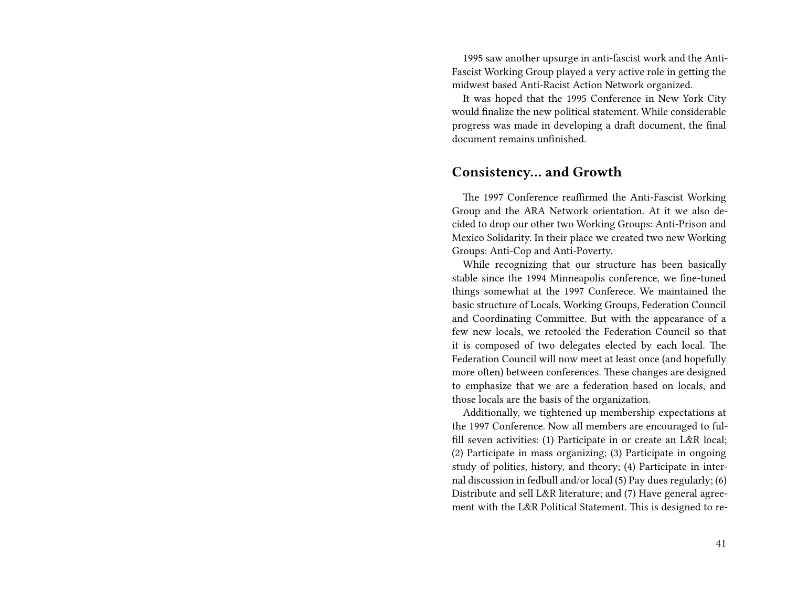1995 saw another upsurge in anti-fascist work and the Anti-Fascist Working Group played a very active role in getting the midwest based Anti-Racist Action Network organized.

It was hoped that the 1995 Conference in New York City would finalize the new political statement. While considerable progress was made in developing a draft document, the final document remains unfinished.

### **Consistency… and Growth**

The 1997 Conference reaffirmed the Anti-Fascist Working Group and the ARA Network orientation. At it we also decided to drop our other two Working Groups: Anti-Prison and Mexico Solidarity. In their place we created two new Working Groups: Anti-Cop and Anti-Poverty.

While recognizing that our structure has been basically stable since the 1994 Minneapolis conference, we fine-tuned things somewhat at the 1997 Conferece. We maintained the basic structure of Locals, Working Groups, Federation Council and Coordinating Committee. But with the appearance of a few new locals, we retooled the Federation Council so that it is composed of two delegates elected by each local. The Federation Council will now meet at least once (and hopefully more often) between conferences. These changes are designed to emphasize that we are a federation based on locals, and those locals are the basis of the organization.

Additionally, we tightened up membership expectations at the 1997 Conference. Now all members are encouraged to fulfill seven activities: (1) Participate in or create an L&R local; (2) Participate in mass organizing; (3) Participate in ongoing study of politics, history, and theory; (4) Participate in internal discussion in fedbull and/or local (5) Pay dues regularly; (6) Distribute and sell L&R literature; and (7) Have general agreement with the L&R Political Statement. This is designed to re-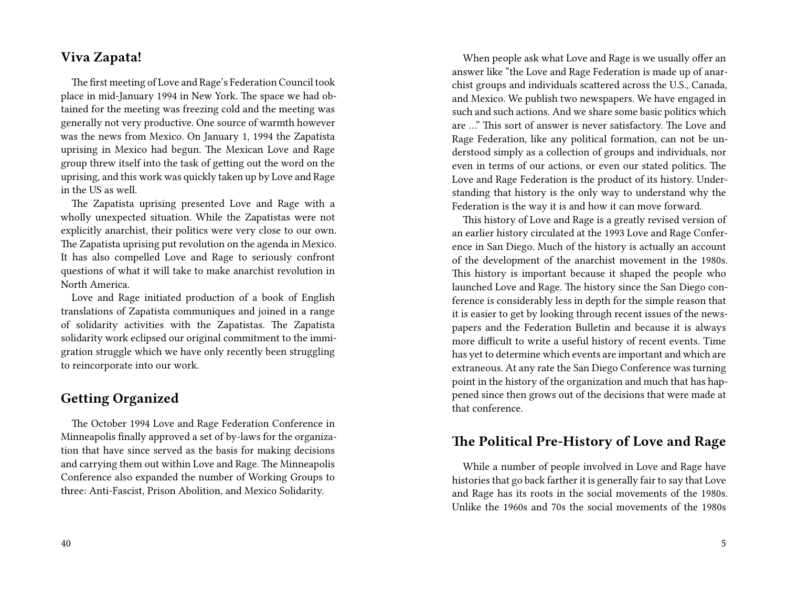### **Viva Zapata!**

The first meeting of Love and Rage's Federation Council took place in mid-January 1994 in New York. The space we had obtained for the meeting was freezing cold and the meeting was generally not very productive. One source of warmth however was the news from Mexico. On January 1, 1994 the Zapatista uprising in Mexico had begun. The Mexican Love and Rage group threw itself into the task of getting out the word on the uprising, and this work was quickly taken up by Love and Rage in the US as well.

The Zapatista uprising presented Love and Rage with a wholly unexpected situation. While the Zapatistas were not explicitly anarchist, their politics were very close to our own. The Zapatista uprising put revolution on the agenda in Mexico. It has also compelled Love and Rage to seriously confront questions of what it will take to make anarchist revolution in North America.

Love and Rage initiated production of a book of English translations of Zapatista communiques and joined in a range of solidarity activities with the Zapatistas. The Zapatista solidarity work eclipsed our original commitment to the immigration struggle which we have only recently been struggling to reincorporate into our work.

### **Getting Organized**

The October 1994 Love and Rage Federation Conference in Minneapolis finally approved a set of by-laws for the organization that have since served as the basis for making decisions and carrying them out within Love and Rage. The Minneapolis Conference also expanded the number of Working Groups to three: Anti-Fascist, Prison Abolition, and Mexico Solidarity.

When people ask what Love and Rage is we usually offer an answer like "the Love and Rage Federation is made up of anarchist groups and individuals scattered across the U.S., Canada, and Mexico. We publish two newspapers. We have engaged in such and such actions. And we share some basic politics which are …" This sort of answer is never satisfactory. The Love and Rage Federation, like any political formation, can not be understood simply as a collection of groups and individuals, nor even in terms of our actions, or even our stated politics. The Love and Rage Federation is the product of its history. Understanding that history is the only way to understand why the Federation is the way it is and how it can move forward.

This history of Love and Rage is a greatly revised version of an earlier history circulated at the 1993 Love and Rage Conference in San Diego. Much of the history is actually an account of the development of the anarchist movement in the 1980s. This history is important because it shaped the people who launched Love and Rage. The history since the San Diego conference is considerably less in depth for the simple reason that it is easier to get by looking through recent issues of the newspapers and the Federation Bulletin and because it is always more difficult to write a useful history of recent events. Time has yet to determine which events are important and which are extraneous. At any rate the San Diego Conference was turning point in the history of the organization and much that has happened since then grows out of the decisions that were made at that conference.

### **The Political Pre-History of Love and Rage**

While a number of people involved in Love and Rage have histories that go back farther it is generally fair to say that Love and Rage has its roots in the social movements of the 1980s. Unlike the 1960s and 70s the social movements of the 1980s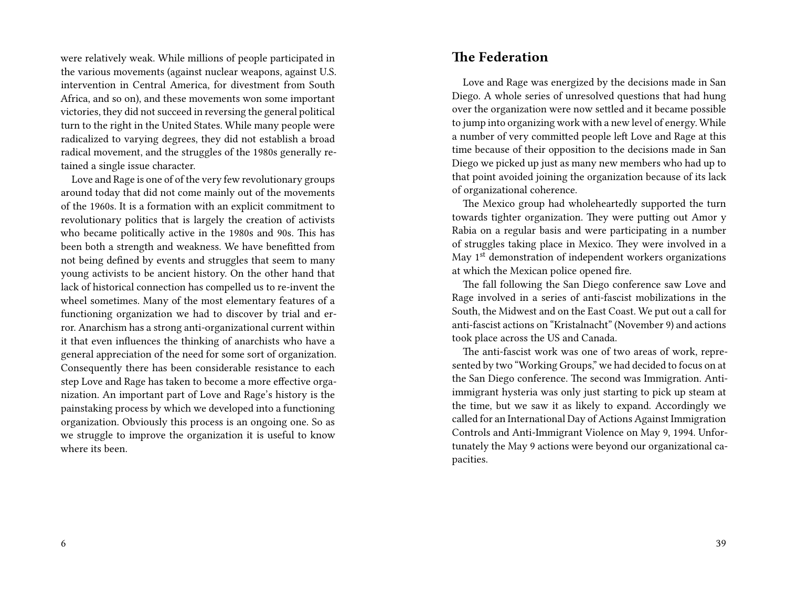were relatively weak. While millions of people participated in the various movements (against nuclear weapons, against U.S. intervention in Central America, for divestment from South Africa, and so on), and these movements won some important victories, they did not succeed in reversing the general political turn to the right in the United States. While many people were radicalized to varying degrees, they did not establish a broad radical movement, and the struggles of the 1980s generally retained a single issue character.

Love and Rage is one of of the very few revolutionary groups around today that did not come mainly out of the movements of the 1960s. It is a formation with an explicit commitment to revolutionary politics that is largely the creation of activists who became politically active in the 1980s and 90s. This has been both a strength and weakness. We have benefitted from not being defined by events and struggles that seem to many young activists to be ancient history. On the other hand that lack of historical connection has compelled us to re-invent the wheel sometimes. Many of the most elementary features of a functioning organization we had to discover by trial and error. Anarchism has a strong anti-organizational current within it that even influences the thinking of anarchists who have a general appreciation of the need for some sort of organization. Consequently there has been considerable resistance to each step Love and Rage has taken to become a more effective organization. An important part of Love and Rage's history is the painstaking process by which we developed into a functioning organization. Obviously this process is an ongoing one. So as we struggle to improve the organization it is useful to know where its been.

### **The Federation**

Love and Rage was energized by the decisions made in San Diego. A whole series of unresolved questions that had hung over the organization were now settled and it became possible to jump into organizing work with a new level of energy. While a number of very committed people left Love and Rage at this time because of their opposition to the decisions made in San Diego we picked up just as many new members who had up to that point avoided joining the organization because of its lack of organizational coherence.

The Mexico group had wholeheartedly supported the turn towards tighter organization. They were putting out Amor y Rabia on a regular basis and were participating in a number of struggles taking place in Mexico. They were involved in a May  $1<sup>st</sup>$  demonstration of independent workers organizations at which the Mexican police opened fire.

The fall following the San Diego conference saw Love and Rage involved in a series of anti-fascist mobilizations in the South, the Midwest and on the East Coast. We put out a call for anti-fascist actions on "Kristalnacht" (November 9) and actions took place across the US and Canada.

The anti-fascist work was one of two areas of work, represented by two "Working Groups," we had decided to focus on at the San Diego conference. The second was Immigration. Antiimmigrant hysteria was only just starting to pick up steam at the time, but we saw it as likely to expand. Accordingly we called for an International Day of Actions Against Immigration Controls and Anti-Immigrant Violence on May 9, 1994. Unfortunately the May 9 actions were beyond our organizational capacities.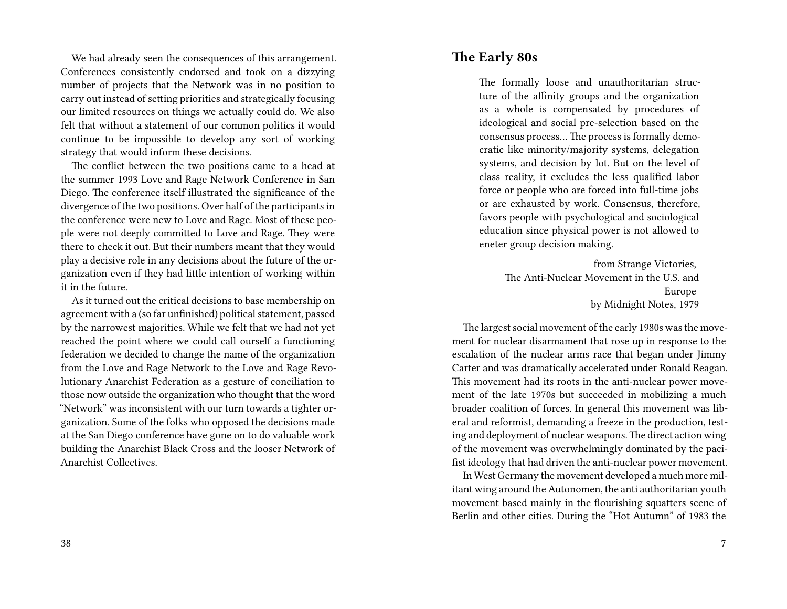We had already seen the consequences of this arrangement. Conferences consistently endorsed and took on a dizzying number of projects that the Network was in no position to carry out instead of setting priorities and strategically focusing our limited resources on things we actually could do. We also felt that without a statement of our common politics it would continue to be impossible to develop any sort of working strategy that would inform these decisions.

The conflict between the two positions came to a head at the summer 1993 Love and Rage Network Conference in San Diego. The conference itself illustrated the significance of the divergence of the two positions. Over half of the participants in the conference were new to Love and Rage. Most of these people were not deeply committed to Love and Rage. They were there to check it out. But their numbers meant that they would play a decisive role in any decisions about the future of the organization even if they had little intention of working within it in the future.

As it turned out the critical decisions to base membership on agreement with a (so far unfinished) political statement, passed by the narrowest majorities. While we felt that we had not yet reached the point where we could call ourself a functioning federation we decided to change the name of the organization from the Love and Rage Network to the Love and Rage Revolutionary Anarchist Federation as a gesture of conciliation to those now outside the organization who thought that the word "Network" was inconsistent with our turn towards a tighter organization. Some of the folks who opposed the decisions made at the San Diego conference have gone on to do valuable work building the Anarchist Black Cross and the looser Network of Anarchist Collectives.

### **The Early 80s**

The formally loose and unauthoritarian structure of the affinity groups and the organization as a whole is compensated by procedures of ideological and social pre-selection based on the consensus process… The process is formally democratic like minority/majority systems, delegation systems, and decision by lot. But on the level of class reality, it excludes the less qualified labor force or people who are forced into full-time jobs or are exhausted by work. Consensus, therefore, favors people with psychological and sociological education since physical power is not allowed to eneter group decision making.

> from Strange Victories, The Anti-Nuclear Movement in the U.S. and Europe by Midnight Notes, 1979

The largest social movement of the early 1980s was the movement for nuclear disarmament that rose up in response to the escalation of the nuclear arms race that began under Jimmy Carter and was dramatically accelerated under Ronald Reagan. This movement had its roots in the anti-nuclear power movement of the late 1970s but succeeded in mobilizing a much broader coalition of forces. In general this movement was liberal and reformist, demanding a freeze in the production, testing and deployment of nuclear weapons.The direct action wing of the movement was overwhelmingly dominated by the pacifist ideology that had driven the anti-nuclear power movement.

In West Germany the movement developed a much more militant wing around the Autonomen, the anti authoritarian youth movement based mainly in the flourishing squatters scene of Berlin and other cities. During the "Hot Autumn" of 1983 the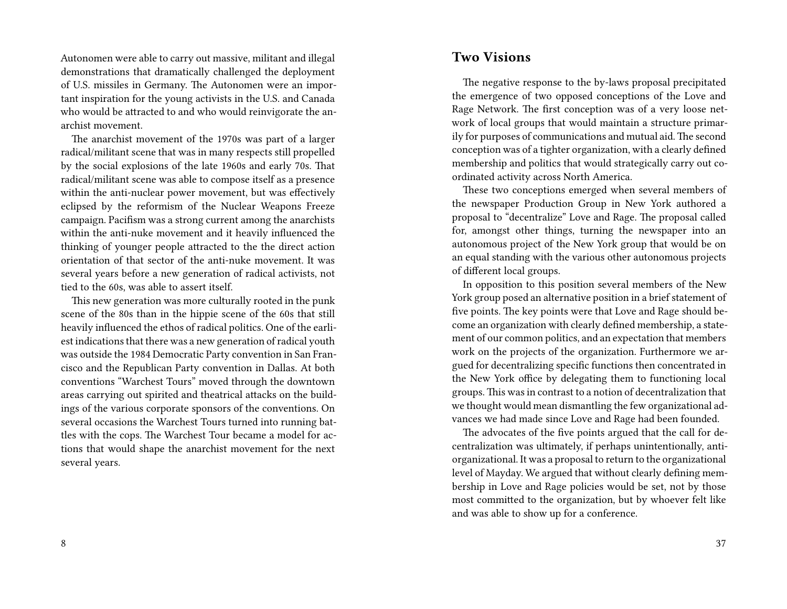Autonomen were able to carry out massive, militant and illegal demonstrations that dramatically challenged the deployment of U.S. missiles in Germany. The Autonomen were an important inspiration for the young activists in the U.S. and Canada who would be attracted to and who would reinvigorate the anarchist movement.

The anarchist movement of the 1970s was part of a larger radical/militant scene that was in many respects still propelled by the social explosions of the late 1960s and early 70s. That radical/militant scene was able to compose itself as a presence within the anti-nuclear power movement, but was effectively eclipsed by the reformism of the Nuclear Weapons Freeze campaign. Pacifism was a strong current among the anarchists within the anti-nuke movement and it heavily influenced the thinking of younger people attracted to the the direct action orientation of that sector of the anti-nuke movement. It was several years before a new generation of radical activists, not tied to the 60s, was able to assert itself.

This new generation was more culturally rooted in the punk scene of the 80s than in the hippie scene of the 60s that still heavily influenced the ethos of radical politics. One of the earliest indications that there was a new generation of radical youth was outside the 1984 Democratic Party convention in San Francisco and the Republican Party convention in Dallas. At both conventions "Warchest Tours" moved through the downtown areas carrying out spirited and theatrical attacks on the buildings of the various corporate sponsors of the conventions. On several occasions the Warchest Tours turned into running battles with the cops. The Warchest Tour became a model for actions that would shape the anarchist movement for the next several years.

### **Two Visions**

The negative response to the by-laws proposal precipitated the emergence of two opposed conceptions of the Love and Rage Network. The first conception was of a very loose network of local groups that would maintain a structure primarily for purposes of communications and mutual aid. The second conception was of a tighter organization, with a clearly defined membership and politics that would strategically carry out coordinated activity across North America.

These two conceptions emerged when several members of the newspaper Production Group in New York authored a proposal to "decentralize" Love and Rage. The proposal called for, amongst other things, turning the newspaper into an autonomous project of the New York group that would be on an equal standing with the various other autonomous projects of different local groups.

In opposition to this position several members of the New York group posed an alternative position in a brief statement of five points. The key points were that Love and Rage should become an organization with clearly defined membership, a statement of our common politics, and an expectation that members work on the projects of the organization. Furthermore we argued for decentralizing specific functions then concentrated in the New York office by delegating them to functioning local groups. This was in contrast to a notion of decentralization that we thought would mean dismantling the few organizational advances we had made since Love and Rage had been founded.

The advocates of the five points argued that the call for decentralization was ultimately, if perhaps unintentionally, antiorganizational. It was a proposal to return to the organizational level of Mayday. We argued that without clearly defining membership in Love and Rage policies would be set, not by those most committed to the organization, but by whoever felt like and was able to show up for a conference.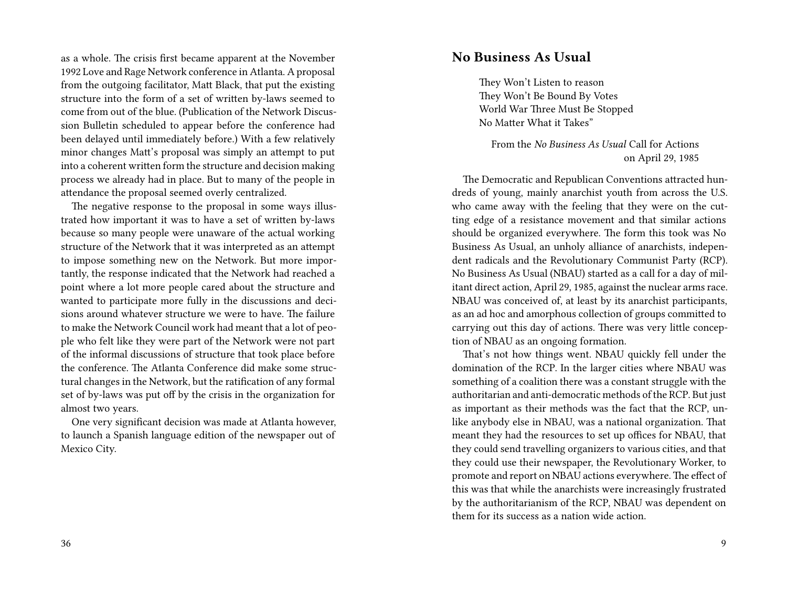as a whole. The crisis first became apparent at the November 1992 Love and Rage Network conference in Atlanta. A proposal from the outgoing facilitator, Matt Black, that put the existing structure into the form of a set of written by-laws seemed to come from out of the blue. (Publication of the Network Discussion Bulletin scheduled to appear before the conference had been delayed until immediately before.) With a few relatively minor changes Matt's proposal was simply an attempt to put into a coherent written form the structure and decision making process we already had in place. But to many of the people in attendance the proposal seemed overly centralized.

The negative response to the proposal in some ways illustrated how important it was to have a set of written by-laws because so many people were unaware of the actual working structure of the Network that it was interpreted as an attempt to impose something new on the Network. But more importantly, the response indicated that the Network had reached a point where a lot more people cared about the structure and wanted to participate more fully in the discussions and decisions around whatever structure we were to have. The failure to make the Network Council work had meant that a lot of people who felt like they were part of the Network were not part of the informal discussions of structure that took place before the conference. The Atlanta Conference did make some structural changes in the Network, but the ratification of any formal set of by-laws was put off by the crisis in the organization for almost two years.

One very significant decision was made at Atlanta however, to launch a Spanish language edition of the newspaper out of Mexico City.

### **No Business As Usual**

They Won't Listen to reason They Won't Be Bound By Votes World War Three Must Be Stopped No Matter What it Takes"

From the *No Business As Usual* Call for Actions on April 29, 1985

The Democratic and Republican Conventions attracted hundreds of young, mainly anarchist youth from across the U.S. who came away with the feeling that they were on the cutting edge of a resistance movement and that similar actions should be organized everywhere. The form this took was No Business As Usual, an unholy alliance of anarchists, independent radicals and the Revolutionary Communist Party (RCP). No Business As Usual (NBAU) started as a call for a day of militant direct action, April 29, 1985, against the nuclear arms race. NBAU was conceived of, at least by its anarchist participants, as an ad hoc and amorphous collection of groups committed to carrying out this day of actions. There was very little conception of NBAU as an ongoing formation.

That's not how things went. NBAU quickly fell under the domination of the RCP. In the larger cities where NBAU was something of a coalition there was a constant struggle with the authoritarian and anti-democratic methods of the RCP. But just as important as their methods was the fact that the RCP, unlike anybody else in NBAU, was a national organization. That meant they had the resources to set up offices for NBAU, that they could send travelling organizers to various cities, and that they could use their newspaper, the Revolutionary Worker, to promote and report on NBAU actions everywhere. The effect of this was that while the anarchists were increasingly frustrated by the authoritarianism of the RCP, NBAU was dependent on them for its success as a nation wide action.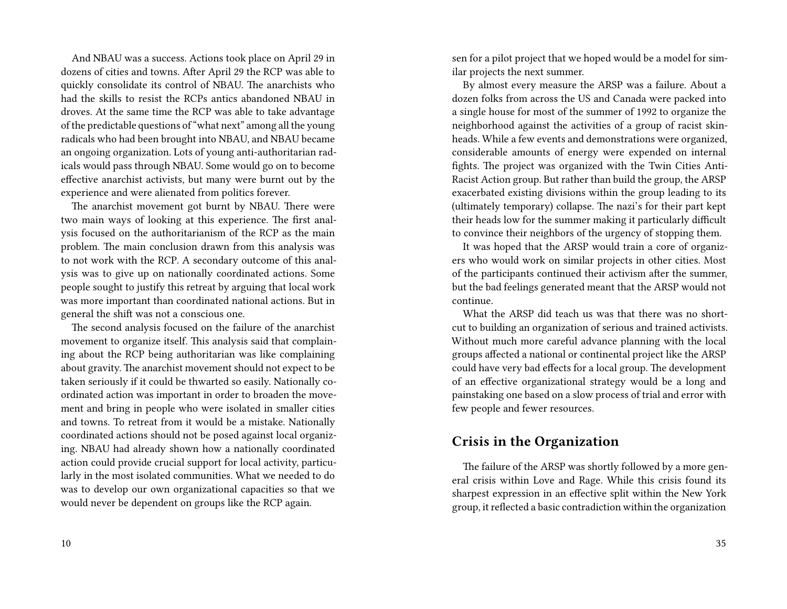And NBAU was a success. Actions took place on April 29 in dozens of cities and towns. After April 29 the RCP was able to quickly consolidate its control of NBAU. The anarchists who had the skills to resist the RCPs antics abandoned NBAU in droves. At the same time the RCP was able to take advantage of the predictable questions of "what next" among all the young radicals who had been brought into NBAU, and NBAU became an ongoing organization. Lots of young anti-authoritarian radicals would pass through NBAU. Some would go on to become effective anarchist activists, but many were burnt out by the experience and were alienated from politics forever.

The anarchist movement got burnt by NBAU. There were two main ways of looking at this experience. The first analysis focused on the authoritarianism of the RCP as the main problem. The main conclusion drawn from this analysis was to not work with the RCP. A secondary outcome of this analysis was to give up on nationally coordinated actions. Some people sought to justify this retreat by arguing that local work was more important than coordinated national actions. But in general the shift was not a conscious one.

The second analysis focused on the failure of the anarchist movement to organize itself. This analysis said that complaining about the RCP being authoritarian was like complaining about gravity. The anarchist movement should not expect to be taken seriously if it could be thwarted so easily. Nationally coordinated action was important in order to broaden the movement and bring in people who were isolated in smaller cities and towns. To retreat from it would be a mistake. Nationally coordinated actions should not be posed against local organizing. NBAU had already shown how a nationally coordinated action could provide crucial support for local activity, particularly in the most isolated communities. What we needed to do was to develop our own organizational capacities so that we would never be dependent on groups like the RCP again.

sen for a pilot project that we hoped would be a model for similar projects the next summer.

By almost every measure the ARSP was a failure. About a dozen folks from across the US and Canada were packed into a single house for most of the summer of 1992 to organize the neighborhood against the activities of a group of racist skinheads. While a few events and demonstrations were organized, considerable amounts of energy were expended on internal fights. The project was organized with the Twin Cities Anti-Racist Action group. But rather than build the group, the ARSP exacerbated existing divisions within the group leading to its (ultimately temporary) collapse. The nazi's for their part kept their heads low for the summer making it particularly difficult to convince their neighbors of the urgency of stopping them.

It was hoped that the ARSP would train a core of organizers who would work on similar projects in other cities. Most of the participants continued their activism after the summer, but the bad feelings generated meant that the ARSP would not continue.

What the ARSP did teach us was that there was no shortcut to building an organization of serious and trained activists. Without much more careful advance planning with the local groups affected a national or continental project like the ARSP could have very bad effects for a local group. The development of an effective organizational strategy would be a long and painstaking one based on a slow process of trial and error with few people and fewer resources.

### **Crisis in the Organization**

The failure of the ARSP was shortly followed by a more general crisis within Love and Rage. While this crisis found its sharpest expression in an effective split within the New York group, it reflected a basic contradiction within the organization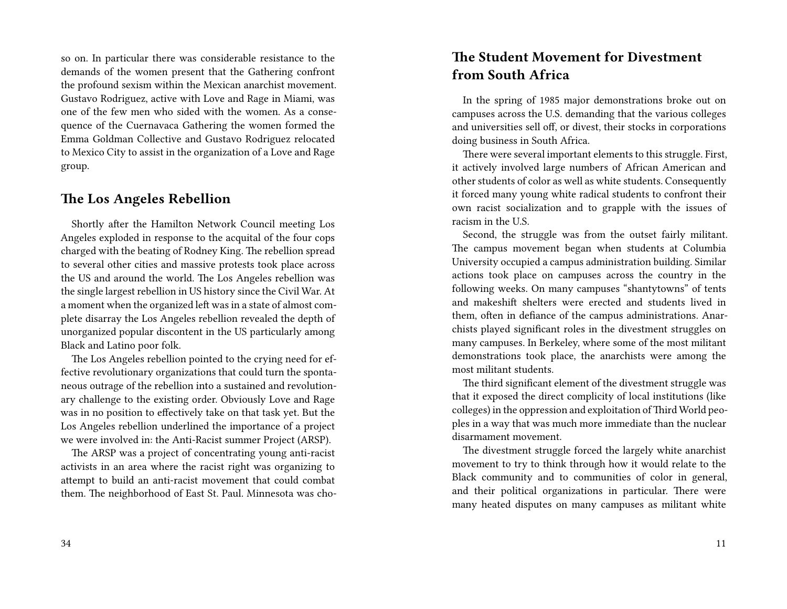so on. In particular there was considerable resistance to the demands of the women present that the Gathering confront the profound sexism within the Mexican anarchist movement. Gustavo Rodriguez, active with Love and Rage in Miami, was one of the few men who sided with the women. As a consequence of the Cuernavaca Gathering the women formed the Emma Goldman Collective and Gustavo Rodriguez relocated to Mexico City to assist in the organization of a Love and Rage group.

### **The Los Angeles Rebellion**

Shortly after the Hamilton Network Council meeting Los Angeles exploded in response to the acquital of the four cops charged with the beating of Rodney King. The rebellion spread to several other cities and massive protests took place across the US and around the world. The Los Angeles rebellion was the single largest rebellion in US history since the Civil War. At a moment when the organized left was in a state of almost complete disarray the Los Angeles rebellion revealed the depth of unorganized popular discontent in the US particularly among Black and Latino poor folk.

The Los Angeles rebellion pointed to the crying need for effective revolutionary organizations that could turn the spontaneous outrage of the rebellion into a sustained and revolutionary challenge to the existing order. Obviously Love and Rage was in no position to effectively take on that task yet. But the Los Angeles rebellion underlined the importance of a project we were involved in: the Anti-Racist summer Project (ARSP).

The ARSP was a project of concentrating young anti-racist activists in an area where the racist right was organizing to attempt to build an anti-racist movement that could combat them. The neighborhood of East St. Paul. Minnesota was cho-

#### 34

### **The Student Movement for Divestment from South Africa**

In the spring of 1985 major demonstrations broke out on campuses across the U.S. demanding that the various colleges and universities sell off, or divest, their stocks in corporations doing business in South Africa.

There were several important elements to this struggle. First, it actively involved large numbers of African American and other students of color as well as white students. Consequently it forced many young white radical students to confront their own racist socialization and to grapple with the issues of racism in the U.S.

Second, the struggle was from the outset fairly militant. The campus movement began when students at Columbia University occupied a campus administration building. Similar actions took place on campuses across the country in the following weeks. On many campuses "shantytowns" of tents and makeshift shelters were erected and students lived in them, often in defiance of the campus administrations. Anarchists played significant roles in the divestment struggles on many campuses. In Berkeley, where some of the most militant demonstrations took place, the anarchists were among the most militant students.

The third significant element of the divestment struggle was that it exposed the direct complicity of local institutions (like colleges) in the oppression and exploitation of Third World peoples in a way that was much more immediate than the nuclear disarmament movement.

The divestment struggle forced the largely white anarchist movement to try to think through how it would relate to the Black community and to communities of color in general, and their political organizations in particular. There were many heated disputes on many campuses as militant white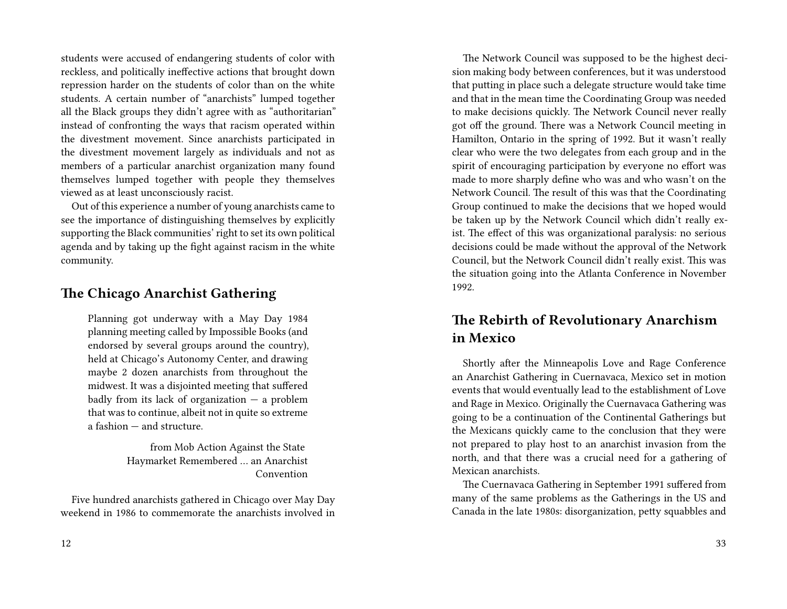students were accused of endangering students of color with reckless, and politically ineffective actions that brought down repression harder on the students of color than on the white students. A certain number of "anarchists" lumped together all the Black groups they didn't agree with as "authoritarian" instead of confronting the ways that racism operated within the divestment movement. Since anarchists participated in the divestment movement largely as individuals and not as members of a particular anarchist organization many found themselves lumped together with people they themselves viewed as at least unconsciously racist.

Out of this experience a number of young anarchists came to see the importance of distinguishing themselves by explicitly supporting the Black communities' right to set its own political agenda and by taking up the fight against racism in the white community.

### **The Chicago Anarchist Gathering**

Planning got underway with a May Day 1984 planning meeting called by Impossible Books (and endorsed by several groups around the country), held at Chicago's Autonomy Center, and drawing maybe 2 dozen anarchists from throughout the midwest. It was a disjointed meeting that suffered badly from its lack of organization  $-$  a problem that was to continue, albeit not in quite so extreme a fashion — and structure.

> from Mob Action Against the State Haymarket Remembered … an Anarchist Convention

Five hundred anarchists gathered in Chicago over May Day weekend in 1986 to commemorate the anarchists involved in

The Network Council was supposed to be the highest decision making body between conferences, but it was understood that putting in place such a delegate structure would take time and that in the mean time the Coordinating Group was needed to make decisions quickly. The Network Council never really got off the ground. There was a Network Council meeting in Hamilton, Ontario in the spring of 1992. But it wasn't really clear who were the two delegates from each group and in the spirit of encouraging participation by everyone no effort was made to more sharply define who was and who wasn't on the Network Council. The result of this was that the Coordinating Group continued to make the decisions that we hoped would be taken up by the Network Council which didn't really exist. The effect of this was organizational paralysis: no serious decisions could be made without the approval of the Network Council, but the Network Council didn't really exist. This was the situation going into the Atlanta Conference in November 1992.

### **The Rebirth of Revolutionary Anarchism in Mexico**

Shortly after the Minneapolis Love and Rage Conference an Anarchist Gathering in Cuernavaca, Mexico set in motion events that would eventually lead to the establishment of Love and Rage in Mexico. Originally the Cuernavaca Gathering was going to be a continuation of the Continental Gatherings but the Mexicans quickly came to the conclusion that they were not prepared to play host to an anarchist invasion from the north, and that there was a crucial need for a gathering of Mexican anarchists.

The Cuernavaca Gathering in September 1991 suffered from many of the same problems as the Gatherings in the US and Canada in the late 1980s: disorganization, petty squabbles and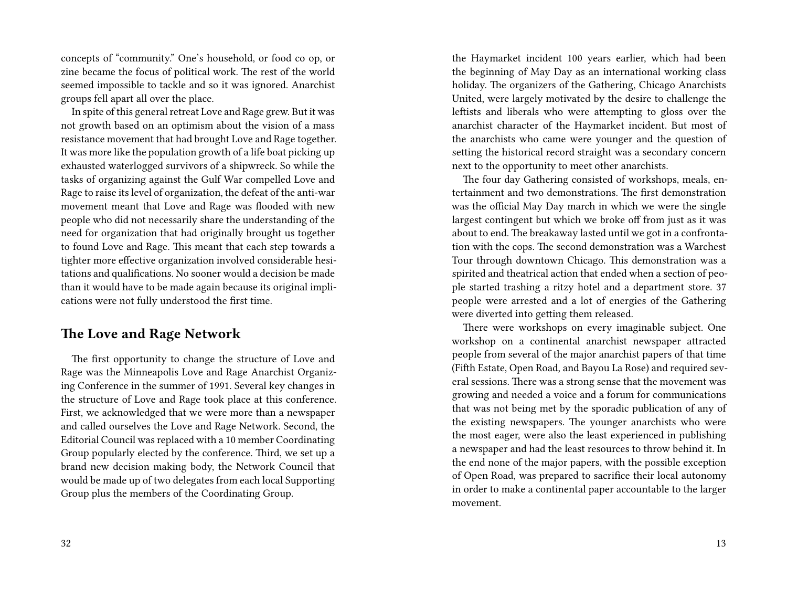concepts of "community." One's household, or food co op, or zine became the focus of political work. The rest of the world seemed impossible to tackle and so it was ignored. Anarchist groups fell apart all over the place.

In spite of this general retreat Love and Rage grew. But it was not growth based on an optimism about the vision of a mass resistance movement that had brought Love and Rage together. It was more like the population growth of a life boat picking up exhausted waterlogged survivors of a shipwreck. So while the tasks of organizing against the Gulf War compelled Love and Rage to raise its level of organization, the defeat of the anti-war movement meant that Love and Rage was flooded with new people who did not necessarily share the understanding of the need for organization that had originally brought us together to found Love and Rage. This meant that each step towards a tighter more effective organization involved considerable hesitations and qualifications. No sooner would a decision be made than it would have to be made again because its original implications were not fully understood the first time.

### **The Love and Rage Network**

The first opportunity to change the structure of Love and Rage was the Minneapolis Love and Rage Anarchist Organizing Conference in the summer of 1991. Several key changes in the structure of Love and Rage took place at this conference. First, we acknowledged that we were more than a newspaper and called ourselves the Love and Rage Network. Second, the Editorial Council was replaced with a 10 member Coordinating Group popularly elected by the conference. Third, we set up a brand new decision making body, the Network Council that would be made up of two delegates from each local Supporting Group plus the members of the Coordinating Group.

the Haymarket incident 100 years earlier, which had been the beginning of May Day as an international working class holiday. The organizers of the Gathering, Chicago Anarchists United, were largely motivated by the desire to challenge the leftists and liberals who were attempting to gloss over the anarchist character of the Haymarket incident. But most of the anarchists who came were younger and the question of setting the historical record straight was a secondary concern next to the opportunity to meet other anarchists.

The four day Gathering consisted of workshops, meals, entertainment and two demonstrations. The first demonstration was the official May Day march in which we were the single largest contingent but which we broke off from just as it was about to end. The breakaway lasted until we got in a confrontation with the cops. The second demonstration was a Warchest Tour through downtown Chicago. This demonstration was a spirited and theatrical action that ended when a section of people started trashing a ritzy hotel and a department store. 37 people were arrested and a lot of energies of the Gathering were diverted into getting them released.

There were workshops on every imaginable subject. One workshop on a continental anarchist newspaper attracted people from several of the major anarchist papers of that time (Fifth Estate, Open Road, and Bayou La Rose) and required several sessions. There was a strong sense that the movement was growing and needed a voice and a forum for communications that was not being met by the sporadic publication of any of the existing newspapers. The younger anarchists who were the most eager, were also the least experienced in publishing a newspaper and had the least resources to throw behind it. In the end none of the major papers, with the possible exception of Open Road, was prepared to sacrifice their local autonomy in order to make a continental paper accountable to the larger movement.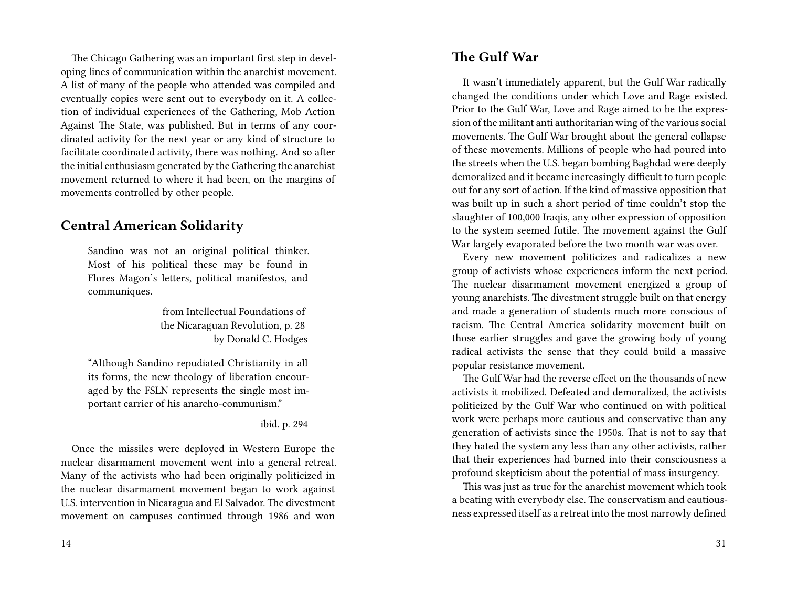The Chicago Gathering was an important first step in developing lines of communication within the anarchist movement. A list of many of the people who attended was compiled and eventually copies were sent out to everybody on it. A collection of individual experiences of the Gathering, Mob Action Against The State, was published. But in terms of any coordinated activity for the next year or any kind of structure to facilitate coordinated activity, there was nothing. And so after the initial enthusiasm generated by the Gathering the anarchist movement returned to where it had been, on the margins of movements controlled by other people.

### **Central American Solidarity**

Sandino was not an original political thinker. Most of his political these may be found in Flores Magon's letters, political manifestos, and communiques.

> from Intellectual Foundations of the Nicaraguan Revolution, p. 28 by Donald C. Hodges

"Although Sandino repudiated Christianity in all its forms, the new theology of liberation encouraged by the FSLN represents the single most important carrier of his anarcho-communism."

ibid. p. 294

Once the missiles were deployed in Western Europe the nuclear disarmament movement went into a general retreat. Many of the activists who had been originally politicized in the nuclear disarmament movement began to work against U.S. intervention in Nicaragua and El Salvador. The divestment movement on campuses continued through 1986 and won

### **The Gulf War**

It wasn't immediately apparent, but the Gulf War radically changed the conditions under which Love and Rage existed. Prior to the Gulf War, Love and Rage aimed to be the expression of the militant anti authoritarian wing of the various social movements. The Gulf War brought about the general collapse of these movements. Millions of people who had poured into the streets when the U.S. began bombing Baghdad were deeply demoralized and it became increasingly difficult to turn people out for any sort of action. If the kind of massive opposition that was built up in such a short period of time couldn't stop the slaughter of 100,000 Iraqis, any other expression of opposition to the system seemed futile. The movement against the Gulf War largely evaporated before the two month war was over.

Every new movement politicizes and radicalizes a new group of activists whose experiences inform the next period. The nuclear disarmament movement energized a group of young anarchists. The divestment struggle built on that energy and made a generation of students much more conscious of racism. The Central America solidarity movement built on those earlier struggles and gave the growing body of young radical activists the sense that they could build a massive popular resistance movement.

The Gulf War had the reverse effect on the thousands of new activists it mobilized. Defeated and demoralized, the activists politicized by the Gulf War who continued on with political work were perhaps more cautious and conservative than any generation of activists since the 1950s. That is not to say that they hated the system any less than any other activists, rather that their experiences had burned into their consciousness a profound skepticism about the potential of mass insurgency.

This was just as true for the anarchist movement which took a beating with everybody else. The conservatism and cautiousness expressed itself as a retreat into the most narrowly defined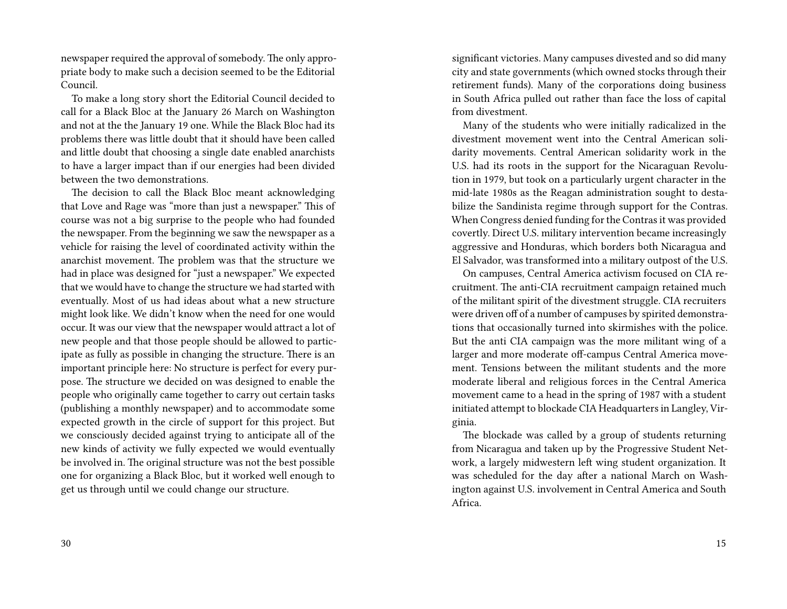newspaper required the approval of somebody. The only appropriate body to make such a decision seemed to be the Editorial Council.

To make a long story short the Editorial Council decided to call for a Black Bloc at the January 26 March on Washington and not at the the January 19 one. While the Black Bloc had its problems there was little doubt that it should have been called and little doubt that choosing a single date enabled anarchists to have a larger impact than if our energies had been divided between the two demonstrations.

The decision to call the Black Bloc meant acknowledging that Love and Rage was "more than just a newspaper." This of course was not a big surprise to the people who had founded the newspaper. From the beginning we saw the newspaper as a vehicle for raising the level of coordinated activity within the anarchist movement. The problem was that the structure we had in place was designed for "just a newspaper." We expected that we would have to change the structure we had started with eventually. Most of us had ideas about what a new structure might look like. We didn't know when the need for one would occur. It was our view that the newspaper would attract a lot of new people and that those people should be allowed to participate as fully as possible in changing the structure. There is an important principle here: No structure is perfect for every purpose. The structure we decided on was designed to enable the people who originally came together to carry out certain tasks (publishing a monthly newspaper) and to accommodate some expected growth in the circle of support for this project. But we consciously decided against trying to anticipate all of the new kinds of activity we fully expected we would eventually be involved in. The original structure was not the best possible one for organizing a Black Bloc, but it worked well enough to get us through until we could change our structure.

significant victories. Many campuses divested and so did many city and state governments (which owned stocks through their retirement funds). Many of the corporations doing business in South Africa pulled out rather than face the loss of capital from divestment.

Many of the students who were initially radicalized in the divestment movement went into the Central American solidarity movements. Central American solidarity work in the U.S. had its roots in the support for the Nicaraguan Revolution in 1979, but took on a particularly urgent character in the mid-late 1980s as the Reagan administration sought to destabilize the Sandinista regime through support for the Contras. When Congress denied funding for the Contras it was provided covertly. Direct U.S. military intervention became increasingly aggressive and Honduras, which borders both Nicaragua and El Salvador, was transformed into a military outpost of the U.S.

On campuses, Central America activism focused on CIA recruitment. The anti-CIA recruitment campaign retained much of the militant spirit of the divestment struggle. CIA recruiters were driven off of a number of campuses by spirited demonstrations that occasionally turned into skirmishes with the police. But the anti CIA campaign was the more militant wing of a larger and more moderate off-campus Central America movement. Tensions between the militant students and the more moderate liberal and religious forces in the Central America movement came to a head in the spring of 1987 with a student initiated attempt to blockade CIA Headquarters in Langley, Virginia.

The blockade was called by a group of students returning from Nicaragua and taken up by the Progressive Student Network, a largely midwestern left wing student organization. It was scheduled for the day after a national March on Washington against U.S. involvement in Central America and South Africa.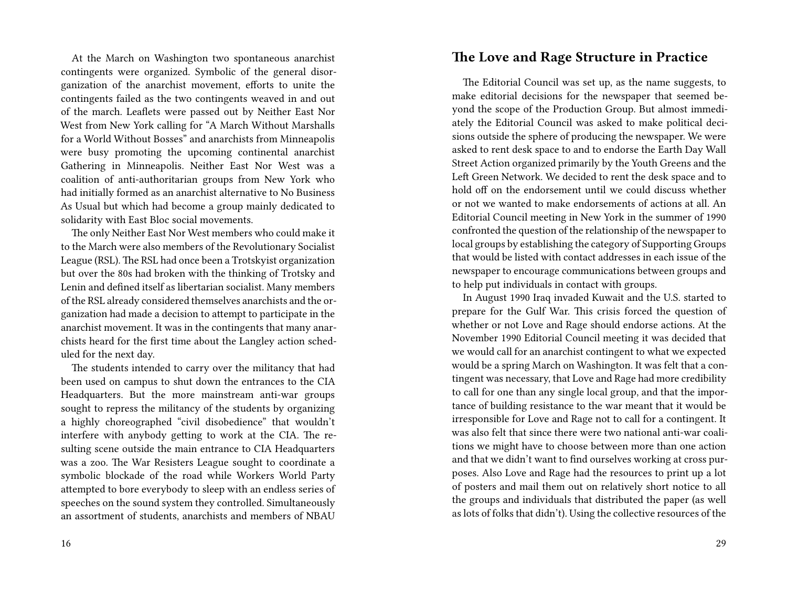At the March on Washington two spontaneous anarchist contingents were organized. Symbolic of the general disorganization of the anarchist movement, efforts to unite the contingents failed as the two contingents weaved in and out of the march. Leaflets were passed out by Neither East Nor West from New York calling for "A March Without Marshalls for a World Without Bosses" and anarchists from Minneapolis were busy promoting the upcoming continental anarchist Gathering in Minneapolis. Neither East Nor West was a coalition of anti-authoritarian groups from New York who had initially formed as an anarchist alternative to No Business As Usual but which had become a group mainly dedicated to solidarity with East Bloc social movements.

The only Neither East Nor West members who could make it to the March were also members of the Revolutionary Socialist League (RSL). The RSL had once been a Trotskyist organization but over the 80s had broken with the thinking of Trotsky and Lenin and defined itself as libertarian socialist. Many members of the RSL already considered themselves anarchists and the organization had made a decision to attempt to participate in the anarchist movement. It was in the contingents that many anarchists heard for the first time about the Langley action scheduled for the next day.

The students intended to carry over the militancy that had been used on campus to shut down the entrances to the CIA Headquarters. But the more mainstream anti-war groups sought to repress the militancy of the students by organizing a highly choreographed "civil disobedience" that wouldn't interfere with anybody getting to work at the CIA. The resulting scene outside the main entrance to CIA Headquarters was a zoo. The War Resisters League sought to coordinate a symbolic blockade of the road while Workers World Party attempted to bore everybody to sleep with an endless series of speeches on the sound system they controlled. Simultaneously an assortment of students, anarchists and members of NBAU

#### **The Love and Rage Structure in Practice**

The Editorial Council was set up, as the name suggests, to make editorial decisions for the newspaper that seemed beyond the scope of the Production Group. But almost immediately the Editorial Council was asked to make political decisions outside the sphere of producing the newspaper. We were asked to rent desk space to and to endorse the Earth Day Wall Street Action organized primarily by the Youth Greens and the Left Green Network. We decided to rent the desk space and to hold off on the endorsement until we could discuss whether or not we wanted to make endorsements of actions at all. An Editorial Council meeting in New York in the summer of 1990 confronted the question of the relationship of the newspaper to local groups by establishing the category of Supporting Groups that would be listed with contact addresses in each issue of the newspaper to encourage communications between groups and to help put individuals in contact with groups.

In August 1990 Iraq invaded Kuwait and the U.S. started to prepare for the Gulf War. This crisis forced the question of whether or not Love and Rage should endorse actions. At the November 1990 Editorial Council meeting it was decided that we would call for an anarchist contingent to what we expected would be a spring March on Washington. It was felt that a contingent was necessary, that Love and Rage had more credibility to call for one than any single local group, and that the importance of building resistance to the war meant that it would be irresponsible for Love and Rage not to call for a contingent. It was also felt that since there were two national anti-war coalitions we might have to choose between more than one action and that we didn't want to find ourselves working at cross purposes. Also Love and Rage had the resources to print up a lot of posters and mail them out on relatively short notice to all the groups and individuals that distributed the paper (as well as lots of folks that didn't). Using the collective resources of the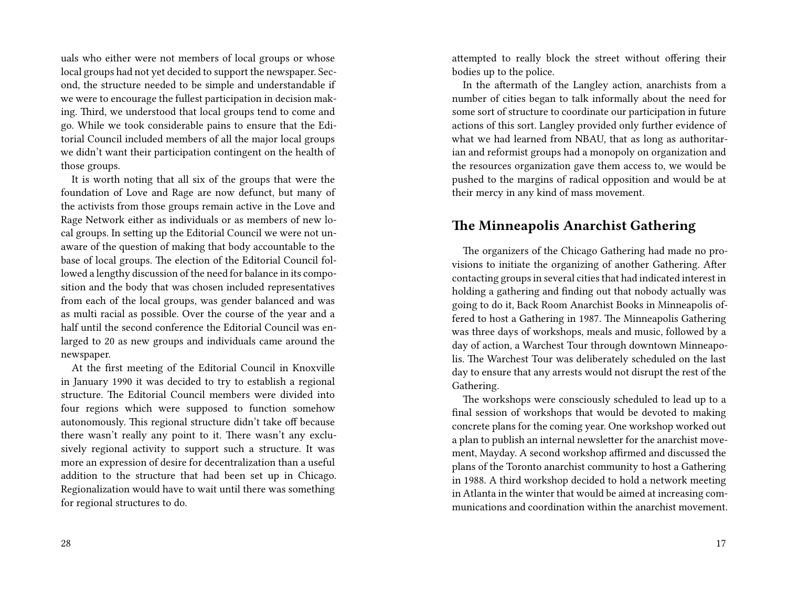uals who either were not members of local groups or whose local groups had not yet decided to support the newspaper. Second, the structure needed to be simple and understandable if we were to encourage the fullest participation in decision making. Third, we understood that local groups tend to come and go. While we took considerable pains to ensure that the Editorial Council included members of all the major local groups we didn't want their participation contingent on the health of those groups.

It is worth noting that all six of the groups that were the foundation of Love and Rage are now defunct, but many of the activists from those groups remain active in the Love and Rage Network either as individuals or as members of new local groups. In setting up the Editorial Council we were not unaware of the question of making that body accountable to the base of local groups. The election of the Editorial Council followed a lengthy discussion of the need for balance in its composition and the body that was chosen included representatives from each of the local groups, was gender balanced and was as multi racial as possible. Over the course of the year and a half until the second conference the Editorial Council was enlarged to 20 as new groups and individuals came around the newspaper.

At the first meeting of the Editorial Council in Knoxville in January 1990 it was decided to try to establish a regional structure. The Editorial Council members were divided into four regions which were supposed to function somehow autonomously. This regional structure didn't take off because there wasn't really any point to it. There wasn't any exclusively regional activity to support such a structure. It was more an expression of desire for decentralization than a useful addition to the structure that had been set up in Chicago. Regionalization would have to wait until there was something for regional structures to do.

28

attempted to really block the street without offering their bodies up to the police.

In the aftermath of the Langley action, anarchists from a number of cities began to talk informally about the need for some sort of structure to coordinate our participation in future actions of this sort. Langley provided only further evidence of what we had learned from NBAU, that as long as authoritarian and reformist groups had a monopoly on organization and the resources organization gave them access to, we would be pushed to the margins of radical opposition and would be at their mercy in any kind of mass movement.

### **The Minneapolis Anarchist Gathering**

The organizers of the Chicago Gathering had made no provisions to initiate the organizing of another Gathering. After contacting groups in several cities that had indicated interest in holding a gathering and finding out that nobody actually was going to do it, Back Room Anarchist Books in Minneapolis offered to host a Gathering in 1987. The Minneapolis Gathering was three days of workshops, meals and music, followed by a day of action, a Warchest Tour through downtown Minneapolis. The Warchest Tour was deliberately scheduled on the last day to ensure that any arrests would not disrupt the rest of the Gathering.

The workshops were consciously scheduled to lead up to a final session of workshops that would be devoted to making concrete plans for the coming year. One workshop worked out a plan to publish an internal newsletter for the anarchist movement, Mayday. A second workshop affirmed and discussed the plans of the Toronto anarchist community to host a Gathering in 1988. A third workshop decided to hold a network meeting in Atlanta in the winter that would be aimed at increasing communications and coordination within the anarchist movement.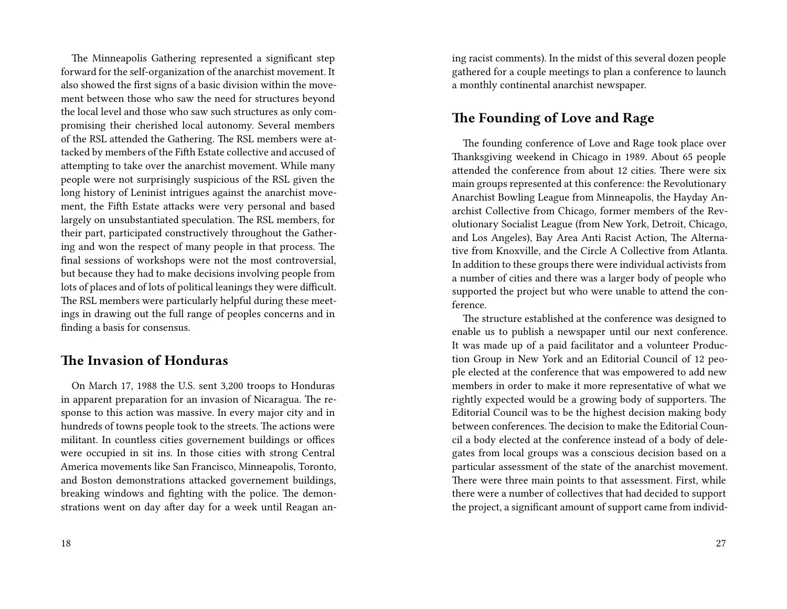The Minneapolis Gathering represented a significant step forward for the self-organization of the anarchist movement. It also showed the first signs of a basic division within the movement between those who saw the need for structures beyond the local level and those who saw such structures as only compromising their cherished local autonomy. Several members of the RSL attended the Gathering. The RSL members were attacked by members of the Fifth Estate collective and accused of attempting to take over the anarchist movement. While many people were not surprisingly suspicious of the RSL given the long history of Leninist intrigues against the anarchist movement, the Fifth Estate attacks were very personal and based largely on unsubstantiated speculation. The RSL members, for their part, participated constructively throughout the Gathering and won the respect of many people in that process. The final sessions of workshops were not the most controversial, but because they had to make decisions involving people from lots of places and of lots of political leanings they were difficult. The RSL members were particularly helpful during these meetings in drawing out the full range of peoples concerns and in finding a basis for consensus.

### **The Invasion of Honduras**

On March 17, 1988 the U.S. sent 3,200 troops to Honduras in apparent preparation for an invasion of Nicaragua. The response to this action was massive. In every major city and in hundreds of towns people took to the streets. The actions were militant. In countless cities governement buildings or offices were occupied in sit ins. In those cities with strong Central America movements like San Francisco, Minneapolis, Toronto, and Boston demonstrations attacked governement buildings, breaking windows and fighting with the police. The demonstrations went on day after day for a week until Reagan aning racist comments). In the midst of this several dozen people gathered for a couple meetings to plan a conference to launch a monthly continental anarchist newspaper.

### **The Founding of Love and Rage**

The founding conference of Love and Rage took place over Thanksgiving weekend in Chicago in 1989. About 65 people attended the conference from about 12 cities. There were six main groups represented at this conference: the Revolutionary Anarchist Bowling League from Minneapolis, the Hayday Anarchist Collective from Chicago, former members of the Revolutionary Socialist League (from New York, Detroit, Chicago, and Los Angeles), Bay Area Anti Racist Action, The Alternative from Knoxville, and the Circle A Collective from Atlanta. In addition to these groups there were individual activists from a number of cities and there was a larger body of people who supported the project but who were unable to attend the conference.

The structure established at the conference was designed to enable us to publish a newspaper until our next conference. It was made up of a paid facilitator and a volunteer Production Group in New York and an Editorial Council of 12 people elected at the conference that was empowered to add new members in order to make it more representative of what we rightly expected would be a growing body of supporters. The Editorial Council was to be the highest decision making body between conferences. The decision to make the Editorial Council a body elected at the conference instead of a body of delegates from local groups was a conscious decision based on a particular assessment of the state of the anarchist movement. There were three main points to that assessment. First, while there were a number of collectives that had decided to support the project, a significant amount of support came from individ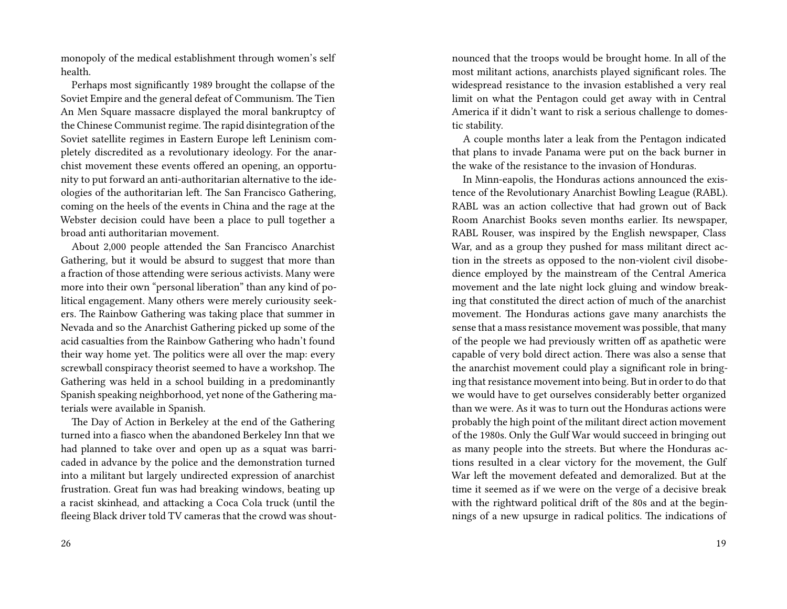monopoly of the medical establishment through women's self health.

Perhaps most significantly 1989 brought the collapse of the Soviet Empire and the general defeat of Communism. The Tien An Men Square massacre displayed the moral bankruptcy of the Chinese Communist regime. The rapid disintegration of the Soviet satellite regimes in Eastern Europe left Leninism completely discredited as a revolutionary ideology. For the anarchist movement these events offered an opening, an opportunity to put forward an anti-authoritarian alternative to the ideologies of the authoritarian left. The San Francisco Gathering, coming on the heels of the events in China and the rage at the Webster decision could have been a place to pull together a broad anti authoritarian movement.

About 2,000 people attended the San Francisco Anarchist Gathering, but it would be absurd to suggest that more than a fraction of those attending were serious activists. Many were more into their own "personal liberation" than any kind of political engagement. Many others were merely curiousity seekers. The Rainbow Gathering was taking place that summer in Nevada and so the Anarchist Gathering picked up some of the acid casualties from the Rainbow Gathering who hadn't found their way home yet. The politics were all over the map: every screwball conspiracy theorist seemed to have a workshop. The Gathering was held in a school building in a predominantly Spanish speaking neighborhood, yet none of the Gathering materials were available in Spanish.

The Day of Action in Berkeley at the end of the Gathering turned into a fiasco when the abandoned Berkeley Inn that we had planned to take over and open up as a squat was barricaded in advance by the police and the demonstration turned into a militant but largely undirected expression of anarchist frustration. Great fun was had breaking windows, beating up a racist skinhead, and attacking a Coca Cola truck (until the fleeing Black driver told TV cameras that the crowd was shoutnounced that the troops would be brought home. In all of the most militant actions, anarchists played significant roles. The widespread resistance to the invasion established a very real limit on what the Pentagon could get away with in Central America if it didn't want to risk a serious challenge to domestic stability.

A couple months later a leak from the Pentagon indicated that plans to invade Panama were put on the back burner in the wake of the resistance to the invasion of Honduras.

In Minn-eapolis, the Honduras actions announced the existence of the Revolutionary Anarchist Bowling League (RABL). RABL was an action collective that had grown out of Back Room Anarchist Books seven months earlier. Its newspaper, RABL Rouser, was inspired by the English newspaper, Class War, and as a group they pushed for mass militant direct action in the streets as opposed to the non-violent civil disobedience employed by the mainstream of the Central America movement and the late night lock gluing and window breaking that constituted the direct action of much of the anarchist movement. The Honduras actions gave many anarchists the sense that a mass resistance movement was possible, that many of the people we had previously written off as apathetic were capable of very bold direct action. There was also a sense that the anarchist movement could play a significant role in bringing that resistance movement into being. But in order to do that we would have to get ourselves considerably better organized than we were. As it was to turn out the Honduras actions were probably the high point of the militant direct action movement of the 1980s. Only the Gulf War would succeed in bringing out as many people into the streets. But where the Honduras actions resulted in a clear victory for the movement, the Gulf War left the movement defeated and demoralized. But at the time it seemed as if we were on the verge of a decisive break with the rightward political drift of the 80s and at the beginnings of a new upsurge in radical politics. The indications of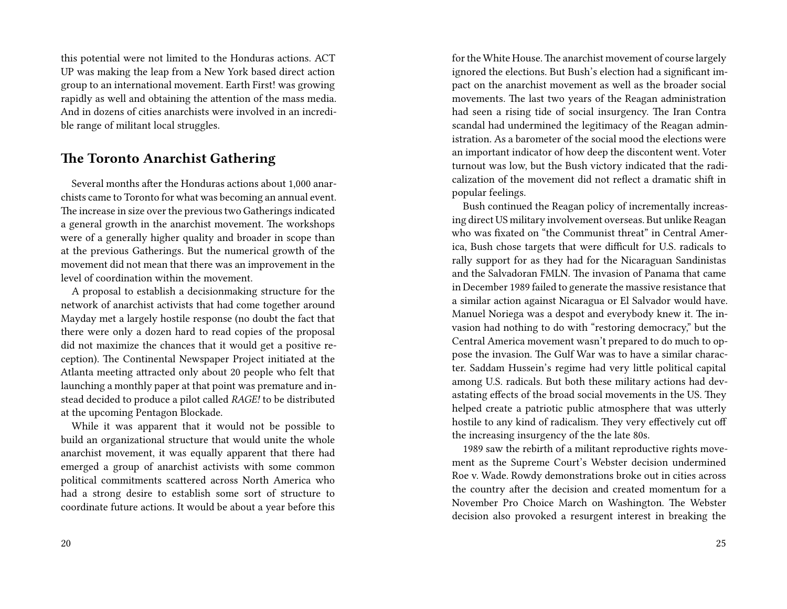this potential were not limited to the Honduras actions. ACT UP was making the leap from a New York based direct action group to an international movement. Earth First! was growing rapidly as well and obtaining the attention of the mass media. And in dozens of cities anarchists were involved in an incredible range of militant local struggles.

### **The Toronto Anarchist Gathering**

Several months after the Honduras actions about 1,000 anarchists came to Toronto for what was becoming an annual event. The increase in size over the previous two Gatherings indicated a general growth in the anarchist movement. The workshops were of a generally higher quality and broader in scope than at the previous Gatherings. But the numerical growth of the movement did not mean that there was an improvement in the level of coordination within the movement.

A proposal to establish a decisionmaking structure for the network of anarchist activists that had come together around Mayday met a largely hostile response (no doubt the fact that there were only a dozen hard to read copies of the proposal did not maximize the chances that it would get a positive reception). The Continental Newspaper Project initiated at the Atlanta meeting attracted only about 20 people who felt that launching a monthly paper at that point was premature and instead decided to produce a pilot called *RAGE!* to be distributed at the upcoming Pentagon Blockade.

While it was apparent that it would not be possible to build an organizational structure that would unite the whole anarchist movement, it was equally apparent that there had emerged a group of anarchist activists with some common political commitments scattered across North America who had a strong desire to establish some sort of structure to coordinate future actions. It would be about a year before this for the White House. The anarchist movement of course largely ignored the elections. But Bush's election had a significant impact on the anarchist movement as well as the broader social movements. The last two years of the Reagan administration had seen a rising tide of social insurgency. The Iran Contra scandal had undermined the legitimacy of the Reagan administration. As a barometer of the social mood the elections were an important indicator of how deep the discontent went. Voter turnout was low, but the Bush victory indicated that the radicalization of the movement did not reflect a dramatic shift in popular feelings.

Bush continued the Reagan policy of incrementally increasing direct US military involvement overseas. But unlike Reagan who was fixated on "the Communist threat" in Central America, Bush chose targets that were difficult for U.S. radicals to rally support for as they had for the Nicaraguan Sandinistas and the Salvadoran FMLN. The invasion of Panama that came in December 1989 failed to generate the massive resistance that a similar action against Nicaragua or El Salvador would have. Manuel Noriega was a despot and everybody knew it. The invasion had nothing to do with "restoring democracy," but the Central America movement wasn't prepared to do much to oppose the invasion. The Gulf War was to have a similar character. Saddam Hussein's regime had very little political capital among U.S. radicals. But both these military actions had devastating effects of the broad social movements in the US. They helped create a patriotic public atmosphere that was utterly hostile to any kind of radicalism. They very effectively cut off the increasing insurgency of the the late 80s.

1989 saw the rebirth of a militant reproductive rights movement as the Supreme Court's Webster decision undermined Roe v. Wade. Rowdy demonstrations broke out in cities across the country after the decision and created momentum for a November Pro Choice March on Washington. The Webster decision also provoked a resurgent interest in breaking the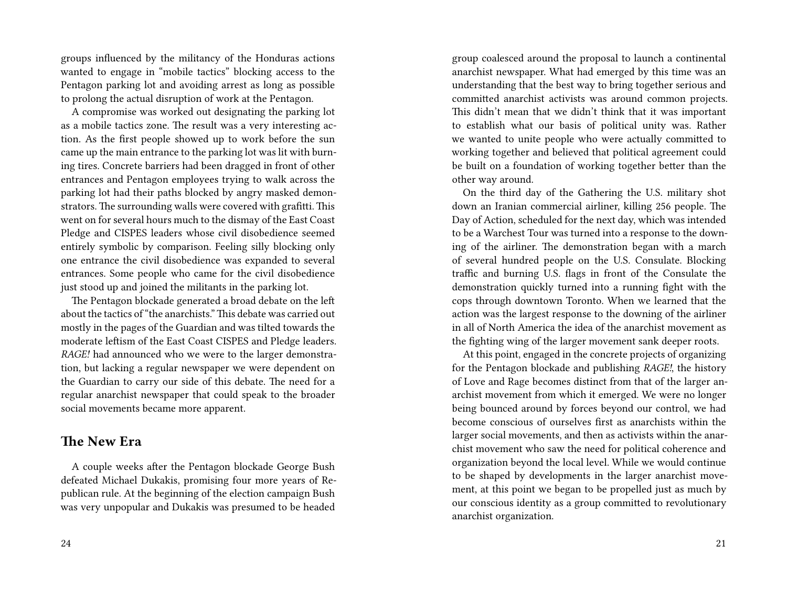groups influenced by the militancy of the Honduras actions wanted to engage in "mobile tactics" blocking access to the Pentagon parking lot and avoiding arrest as long as possible to prolong the actual disruption of work at the Pentagon.

A compromise was worked out designating the parking lot as a mobile tactics zone. The result was a very interesting action. As the first people showed up to work before the sun came up the main entrance to the parking lot was lit with burning tires. Concrete barriers had been dragged in front of other entrances and Pentagon employees trying to walk across the parking lot had their paths blocked by angry masked demonstrators. The surrounding walls were covered with grafitti. This went on for several hours much to the dismay of the East Coast Pledge and CISPES leaders whose civil disobedience seemed entirely symbolic by comparison. Feeling silly blocking only one entrance the civil disobedience was expanded to several entrances. Some people who came for the civil disobedience just stood up and joined the militants in the parking lot.

The Pentagon blockade generated a broad debate on the left about the tactics of "the anarchists." This debate was carried out mostly in the pages of the Guardian and was tilted towards the moderate leftism of the East Coast CISPES and Pledge leaders. *RAGE!* had announced who we were to the larger demonstration, but lacking a regular newspaper we were dependent on the Guardian to carry our side of this debate. The need for a regular anarchist newspaper that could speak to the broader social movements became more apparent.

### **The New Era**

A couple weeks after the Pentagon blockade George Bush defeated Michael Dukakis, promising four more years of Republican rule. At the beginning of the election campaign Bush was very unpopular and Dukakis was presumed to be headed

group coalesced around the proposal to launch a continental anarchist newspaper. What had emerged by this time was an understanding that the best way to bring together serious and committed anarchist activists was around common projects. This didn't mean that we didn't think that it was important to establish what our basis of political unity was. Rather we wanted to unite people who were actually committed to working together and believed that political agreement could be built on a foundation of working together better than the other way around.

On the third day of the Gathering the U.S. military shot down an Iranian commercial airliner, killing 256 people. The Day of Action, scheduled for the next day, which was intended to be a Warchest Tour was turned into a response to the downing of the airliner. The demonstration began with a march of several hundred people on the U.S. Consulate. Blocking traffic and burning U.S. flags in front of the Consulate the demonstration quickly turned into a running fight with the cops through downtown Toronto. When we learned that the action was the largest response to the downing of the airliner in all of North America the idea of the anarchist movement as the fighting wing of the larger movement sank deeper roots.

At this point, engaged in the concrete projects of organizing for the Pentagon blockade and publishing *RAGE!*, the history of Love and Rage becomes distinct from that of the larger anarchist movement from which it emerged. We were no longer being bounced around by forces beyond our control, we had become conscious of ourselves first as anarchists within the larger social movements, and then as activists within the anarchist movement who saw the need for political coherence and organization beyond the local level. While we would continue to be shaped by developments in the larger anarchist movement, at this point we began to be propelled just as much by our conscious identity as a group committed to revolutionary anarchist organization.